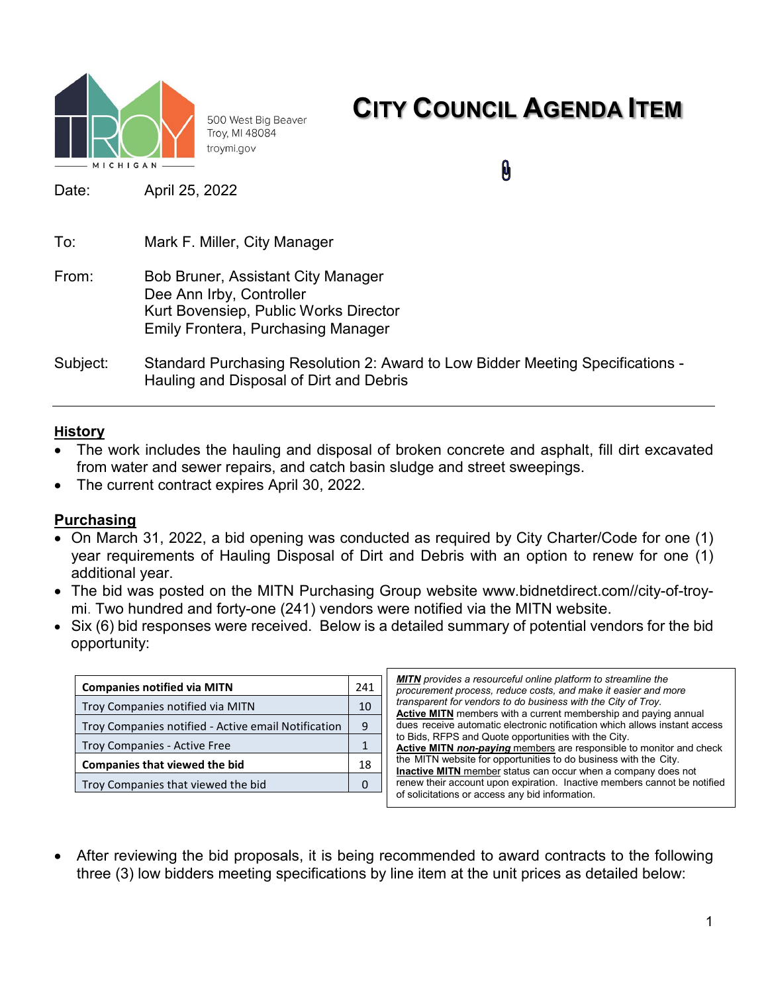

500 West Big Beaver Troy, MI 48084 troymi.gov

## **CITY COUNCIL AGENDA ITEM**

0

Date: April 25, 2022

| To:      | Mark F. Miller, City Manager                                                                                                                                |
|----------|-------------------------------------------------------------------------------------------------------------------------------------------------------------|
| From:    | <b>Bob Bruner, Assistant City Manager</b><br>Dee Ann Irby, Controller<br>Kurt Bovensiep, Public Works Director<br><b>Emily Frontera, Purchasing Manager</b> |
| Subject: | Standard Purchasing Resolution 2: Award to Low Bidder Meeting Specifications -<br>Hauling and Disposal of Dirt and Debris                                   |

#### **History**

- The work includes the hauling and disposal of broken concrete and asphalt, fill dirt excavated from water and sewer repairs, and catch basin sludge and street sweepings.
- The current contract expires April 30, 2022.

#### **Purchasing**

- On March 31, 2022, a bid opening was conducted as required by City Charter/Code for one (1) year requirements of Hauling Disposal of Dirt and Debris with an option to renew for one (1) additional year.
- The bid was posted on the MITN Purchasing Group website www.bidnetdirect.com//city-of-troymi. Two hundred and forty-one (241) vendors were notified via the MITN website.
- Six (6) bid responses were received. Below is a detailed summary of potential vendors for the bid opportunity:

| <b>Companies notified via MITN</b>                  |    |  |  |
|-----------------------------------------------------|----|--|--|
| Troy Companies notified via MITN                    | 10 |  |  |
| Troy Companies notified - Active email Notification | 9  |  |  |
| <b>Troy Companies - Active Free</b>                 |    |  |  |
| <b>Companies that viewed the bid</b>                |    |  |  |
| Troy Companies that viewed the bid                  |    |  |  |

*MITN provides a resourceful online platform to streamline the procurement process, reduce costs, and make it easier and more transparent for vendors to do business with the City of Troy.* **Active MITN** members with a current membership and paying annual dues receive automatic electronic notification which allows instant access to Bids, RFPS and Quote opportunities with the City. **Active MITN** *non-paying* members are responsible to monitor and check the MITN website for opportunities to do business with the City. **Inactive MITN** member status can occur when a company does not renew their account upon expiration. Inactive members cannot be notified of solicitations or access any bid information.

• After reviewing the bid proposals, it is being recommended to award contracts to the following three (3) low bidders meeting specifications by line item at the unit prices as detailed below: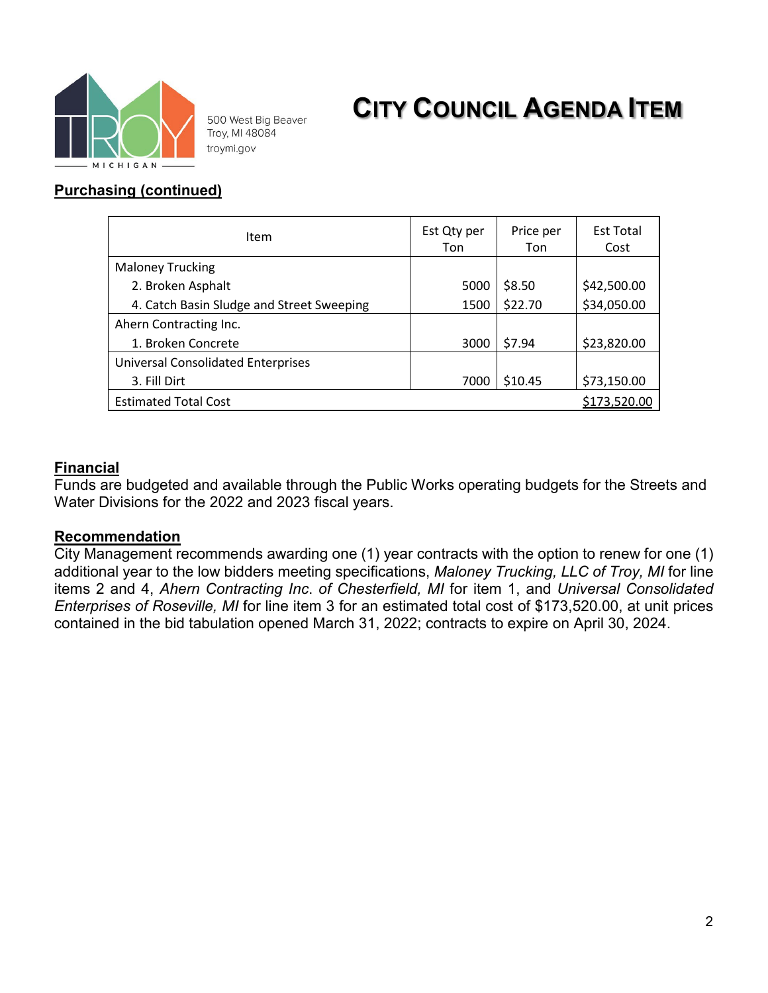

500 West Big Beaver Troy, MI 48084 troymi.gov

# **CITY COUNCIL AGENDA ITEM**

### **Purchasing (continued)**

| Item                                      | Est Qty per<br>Ton | Price per<br>Ton | <b>Est Total</b><br>Cost |  |
|-------------------------------------------|--------------------|------------------|--------------------------|--|
| <b>Maloney Trucking</b>                   |                    |                  |                          |  |
| 2. Broken Asphalt                         | 5000               | \$8.50           | \$42,500.00              |  |
| 4. Catch Basin Sludge and Street Sweeping | 1500               | \$22.70          | \$34,050.00              |  |
| Ahern Contracting Inc.                    |                    |                  |                          |  |
| 1. Broken Concrete                        | 3000               | \$7.94           | \$23,820.00              |  |
| <b>Universal Consolidated Enterprises</b> |                    |                  |                          |  |
| 3. Fill Dirt                              | 7000               | \$10.45          | \$73,150.00              |  |
| <b>Estimated Total Cost</b>               |                    |                  | <u>\$173,520.00</u>      |  |

#### **Financial**

Funds are budgeted and available through the Public Works operating budgets for the Streets and Water Divisions for the 2022 and 2023 fiscal years.

#### **Recommendation**

City Management recommends awarding one (1) year contracts with the option to renew for one (1) additional year to the low bidders meeting specifications, *Maloney Trucking, LLC of Troy, MI* for line items 2 and 4, *Ahern Contracting Inc*. *of Chesterfield, MI* for item 1, and *Universal Consolidated Enterprises of Roseville, MI* for line item 3 for an estimated total cost of \$173,520.00, at unit prices contained in the bid tabulation opened March 31, 2022; contracts to expire on April 30, 2024.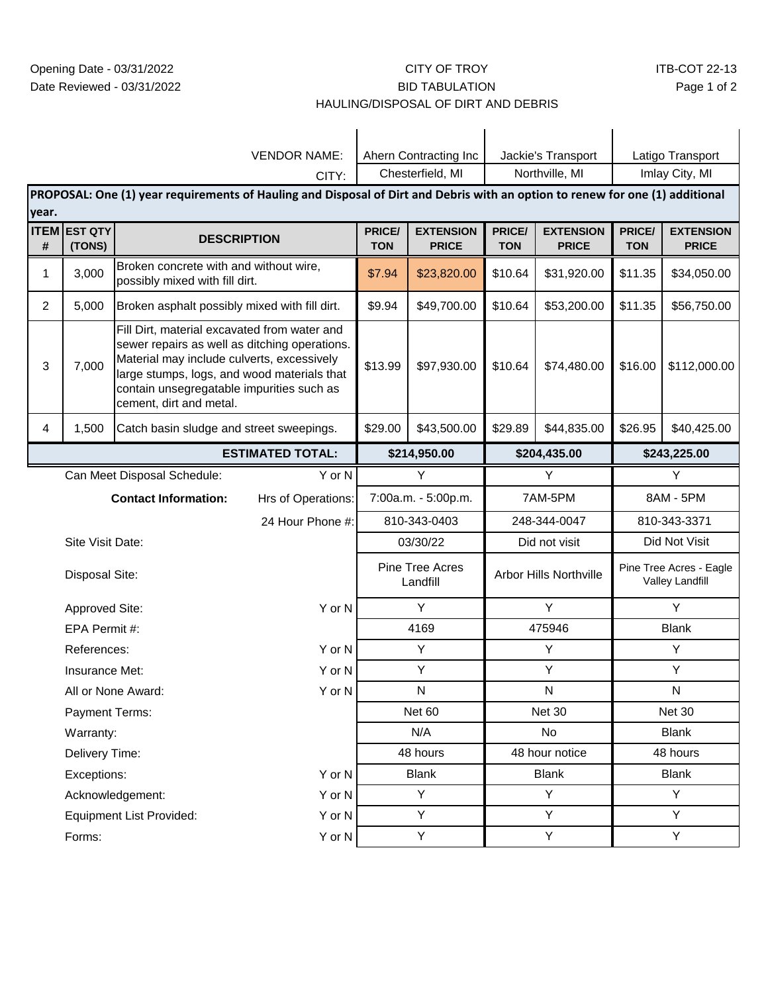#### CITY OF TROY BID TABULATION

#### HAULING/DISPOSAL OF DIRT AND DEBRIS

| <b>VENDOR NAME:</b>                                                                                                           |                                 |                                                                                                                                                                                                                                                                    |                         | Ahern Contracting Inc       |                                  | Jackie's Transport     |                                  | Latigo Transport                           |                                  |
|-------------------------------------------------------------------------------------------------------------------------------|---------------------------------|--------------------------------------------------------------------------------------------------------------------------------------------------------------------------------------------------------------------------------------------------------------------|-------------------------|-----------------------------|----------------------------------|------------------------|----------------------------------|--------------------------------------------|----------------------------------|
| CITY:                                                                                                                         |                                 |                                                                                                                                                                                                                                                                    | Chesterfield, MI        |                             | Northville, MI                   |                        | Imlay City, MI                   |                                            |                                  |
| PROPOSAL: One (1) year requirements of Hauling and Disposal of Dirt and Debris with an option to renew for one (1) additional |                                 |                                                                                                                                                                                                                                                                    |                         |                             |                                  |                        |                                  |                                            |                                  |
| year.                                                                                                                         |                                 |                                                                                                                                                                                                                                                                    |                         |                             |                                  |                        |                                  |                                            |                                  |
| #                                                                                                                             | <b>ITEM EST QTY</b><br>(TONS)   | <b>DESCRIPTION</b>                                                                                                                                                                                                                                                 |                         | PRICE/<br><b>TON</b>        | <b>EXTENSION</b><br><b>PRICE</b> | PRICE/<br><b>TON</b>   | <b>EXTENSION</b><br><b>PRICE</b> | PRICE/<br><b>TON</b>                       | <b>EXTENSION</b><br><b>PRICE</b> |
| 1                                                                                                                             | 3,000                           | Broken concrete with and without wire,<br>possibly mixed with fill dirt.                                                                                                                                                                                           |                         | \$7.94                      | \$23,820.00                      | \$10.64                | \$31,920.00                      | \$11.35                                    | \$34,050.00                      |
| $\overline{2}$                                                                                                                | 5,000                           | Broken asphalt possibly mixed with fill dirt.                                                                                                                                                                                                                      |                         | \$9.94                      | \$49,700.00                      | \$10.64                | \$53,200.00                      | \$11.35                                    | \$56,750.00                      |
| 3                                                                                                                             | 7,000                           | Fill Dirt, material excavated from water and<br>sewer repairs as well as ditching operations.<br>Material may include culverts, excessively<br>large stumps, logs, and wood materials that<br>contain unsegregatable impurities such as<br>cement, dirt and metal. |                         |                             | \$97,930.00                      | \$10.64                | \$74,480.00                      | \$16.00                                    | \$112,000.00                     |
| 4                                                                                                                             | 1,500                           | Catch basin sludge and street sweepings.                                                                                                                                                                                                                           |                         | \$29.00                     | \$43,500.00                      | \$29.89                | \$44,835.00                      | \$26.95                                    | \$40,425.00                      |
|                                                                                                                               |                                 |                                                                                                                                                                                                                                                                    | <b>ESTIMATED TOTAL:</b> | \$214,950.00                |                                  | \$204,435.00           |                                  | \$243,225.00                               |                                  |
|                                                                                                                               | Can Meet Disposal Schedule:     |                                                                                                                                                                                                                                                                    | Y or N                  |                             | Υ                                | Υ                      |                                  | Υ                                          |                                  |
|                                                                                                                               |                                 | <b>Contact Information:</b>                                                                                                                                                                                                                                        | Hrs of Operations:      | 7:00a.m. - 5:00p.m.         |                                  | 7AM-5PM                |                                  | 8AM - 5PM                                  |                                  |
|                                                                                                                               |                                 |                                                                                                                                                                                                                                                                    | 24 Hour Phone #:        |                             | 810-343-0403                     |                        | 248-344-0047                     |                                            | 810-343-3371                     |
|                                                                                                                               | Site Visit Date:                |                                                                                                                                                                                                                                                                    |                         | 03/30/22                    |                                  | Did not visit          |                                  | Did Not Visit                              |                                  |
|                                                                                                                               | <b>Disposal Site:</b>           |                                                                                                                                                                                                                                                                    |                         | Pine Tree Acres<br>Landfill |                                  | Arbor Hills Northville |                                  | Pine Tree Acres - Eagle<br>Valley Landfill |                                  |
|                                                                                                                               | Approved Site:                  |                                                                                                                                                                                                                                                                    | Y or N                  | Y                           |                                  | Y                      |                                  | Υ                                          |                                  |
|                                                                                                                               | EPA Permit #:                   |                                                                                                                                                                                                                                                                    |                         | 4169                        |                                  | 475946                 |                                  | <b>Blank</b>                               |                                  |
|                                                                                                                               | References:                     |                                                                                                                                                                                                                                                                    | Y or N                  | Υ                           |                                  | Υ                      |                                  | Y                                          |                                  |
|                                                                                                                               | Insurance Met:                  |                                                                                                                                                                                                                                                                    | Y or N                  |                             | Υ                                | Y                      |                                  | Υ                                          |                                  |
| All or None Award:                                                                                                            |                                 | Y or N                                                                                                                                                                                                                                                             |                         | ${\sf N}$                   |                                  | ${\sf N}$              |                                  | ${\sf N}$                                  |                                  |
| Payment Terms:                                                                                                                |                                 |                                                                                                                                                                                                                                                                    | Net 60                  |                             | <b>Net 30</b>                    |                        | Net 30                           |                                            |                                  |
| Warranty:                                                                                                                     |                                 | N/A                                                                                                                                                                                                                                                                |                         | No                          |                                  | <b>Blank</b>           |                                  |                                            |                                  |
|                                                                                                                               | Delivery Time:                  |                                                                                                                                                                                                                                                                    | 48 hours                |                             | 48 hour notice                   |                        | 48 hours                         |                                            |                                  |
|                                                                                                                               | Y or N<br>Exceptions:           |                                                                                                                                                                                                                                                                    | <b>Blank</b>            |                             | <b>Blank</b>                     |                        | <b>Blank</b>                     |                                            |                                  |
|                                                                                                                               | Y or N<br>Acknowledgement:      |                                                                                                                                                                                                                                                                    | Y                       |                             | Y                                |                        | Y                                |                                            |                                  |
|                                                                                                                               | <b>Equipment List Provided:</b> |                                                                                                                                                                                                                                                                    | Y or N                  | Y                           |                                  | Y                      |                                  | Y                                          |                                  |
|                                                                                                                               | Forms:                          |                                                                                                                                                                                                                                                                    | Y or N                  |                             | Y                                |                        | Y                                |                                            | Y                                |